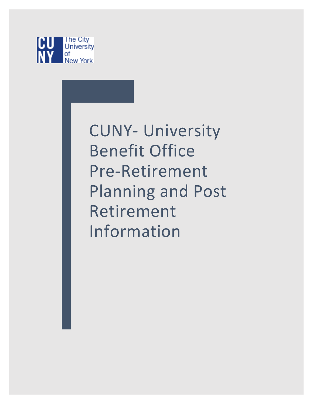

CUNY- University Benefit Office Pre-Retirement Planning and Post Retirement Information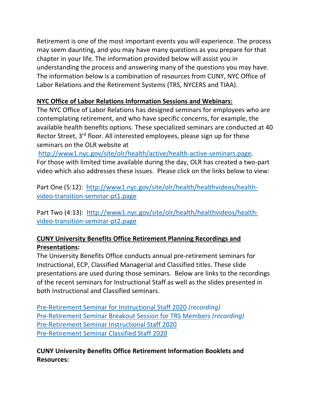Retirement is one of the most important events you will experience. The process may seem daunting, and you may have many questions as you prepare for that chapter in your life. The information provided below will assist you in understanding the process and answering many of the questions you may have. The information below is a combination of resources from CUNY, NYC Office of Labor Relations and the Retirement Systems (TRS, NYCERS and TIAA).

## **NYC Office of Labor Relations Information Sessions and Webinars:**

The NYC Office of Labor Relations has designed seminars for employees who are contemplating retirement, and who have specific concerns, for example, the available health benefits options. These specialized seminars are conducted at 40 Rector Street, 3<sup>rd</sup> floor. All interested employees, please sign up for these seminars on the OLR website at

[http://www1.nyc.gov/site/olr/health/active/health-active-seminars.page.](https://urldefense.proofpoint.com/v2/url?u=http-3A__www1.nyc.gov_site_olr_health_active_health-2Dactive-2Dseminars.page&d=BQMFaQ&c=mRWFL96tuqj9V0Jjj4h40ddo0XsmttALwKjAEOCyUjY&r=hA3viqbI1go51Lstt-XWCkQSTg3gF9YqsGNMMFiIdxM&m=NOAIWTPTfDJ76__3aBHOhgwO69BmQo6HMNcvLWeLeUk&s=x_kHWSaXg1FAIXQdgCKZgy2j-O3kjqjad8oLQS0Bj3E&e=) For those with limited time available during the day, OLR has created a two-part video which also addresses these issues. Please click on the links below to view:

Part One (5:12): [http://www1.nyc.gov/site/olr/health/healthvideos/health](https://urldefense.proofpoint.com/v2/url?u=http-3A__www1.nyc.gov_site_olr_health_healthvideos_health-2Dvideo-2Dtransition-2Dseminar-2Dpt1.page&d=BQMFaQ&c=mRWFL96tuqj9V0Jjj4h40ddo0XsmttALwKjAEOCyUjY&r=hA3viqbI1go51Lstt-XWCkQSTg3gF9YqsGNMMFiIdxM&m=NOAIWTPTfDJ76__3aBHOhgwO69BmQo6HMNcvLWeLeUk&s=wUPw8D0nJeOcZ1xWZh0MmIYSBlEXWU8hF7TfzDWjsnw&e=)[video-transition-seminar-pt1.page](https://urldefense.proofpoint.com/v2/url?u=http-3A__www1.nyc.gov_site_olr_health_healthvideos_health-2Dvideo-2Dtransition-2Dseminar-2Dpt1.page&d=BQMFaQ&c=mRWFL96tuqj9V0Jjj4h40ddo0XsmttALwKjAEOCyUjY&r=hA3viqbI1go51Lstt-XWCkQSTg3gF9YqsGNMMFiIdxM&m=NOAIWTPTfDJ76__3aBHOhgwO69BmQo6HMNcvLWeLeUk&s=wUPw8D0nJeOcZ1xWZh0MmIYSBlEXWU8hF7TfzDWjsnw&e=)

Part Two (4:13): [http://www1.nyc.gov/site/olr/health/healthvideos/health](https://urldefense.proofpoint.com/v2/url?u=http-3A__www1.nyc.gov_site_olr_health_healthvideos_health-2Dvideo-2Dtransition-2Dseminar-2Dpt2.page&d=BQMFaQ&c=mRWFL96tuqj9V0Jjj4h40ddo0XsmttALwKjAEOCyUjY&r=hA3viqbI1go51Lstt-XWCkQSTg3gF9YqsGNMMFiIdxM&m=NOAIWTPTfDJ76__3aBHOhgwO69BmQo6HMNcvLWeLeUk&s=t2KCX0w1883jwj7okDhsMwK80zxnWtO0k_Fv4CVL2a4&e=)[video-transition-seminar-pt2.page](https://urldefense.proofpoint.com/v2/url?u=http-3A__www1.nyc.gov_site_olr_health_healthvideos_health-2Dvideo-2Dtransition-2Dseminar-2Dpt2.page&d=BQMFaQ&c=mRWFL96tuqj9V0Jjj4h40ddo0XsmttALwKjAEOCyUjY&r=hA3viqbI1go51Lstt-XWCkQSTg3gF9YqsGNMMFiIdxM&m=NOAIWTPTfDJ76__3aBHOhgwO69BmQo6HMNcvLWeLeUk&s=t2KCX0w1883jwj7okDhsMwK80zxnWtO0k_Fv4CVL2a4&e=)

## **CUNY University Benefits Office Retirement Planning Recordings and Presentations:**

The University Benefits Office conducts annual pre-retirement seminars for Instructional, ECP, Classified Managerial and Classified titles. These slide presentations are used during those seminars. Below are links to the recordings of the recent seminars for Instructional Staff as well as the slides presented in both Instructional and Classified seminars.

[Pre-Retirement](https://www.youtube.com/watch?v=pZYq7yAb5kk) Seminar for Instructional Staff 2020 *(recording)* [Pre-Retirement](https://www.youtube.com/watch?v=SoObD6XfB5g&t=3s) Seminar Breakout Session for TRS Members *(recording)* [Pre-Retirement](https://www.cuny.edu/wp-content/uploads/sites/4/media-assets/Pre-Retirement-Seminar-Instructional-Fall-2020.pdf) Seminar Instructional Staff 2020 [Pre-Retirement](https://www.cuny.edu/wp-content/uploads/sites/4/media-assets/Pre-Retirement-Seminar-Classified-2020.pdf) Seminar Classified Staff 2020

**CUNY University Benefits Office Retirement Information Booklets and Resources:**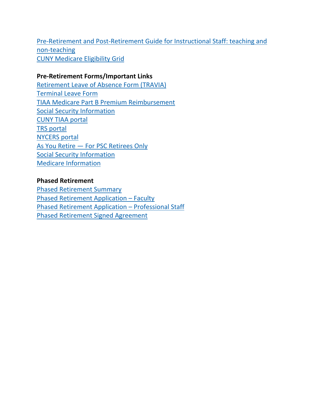Pre-Retirement and [Post-Retirement](https://www.cuny.edu/wp-content/uploads/sites/4/page-assets/about/administration/offices/hr/benefits/Retirement-guide-final-2018.pdf) Guide for Instructional Staff: teaching and [non-teaching](https://www.cuny.edu/wp-content/uploads/sites/4/page-assets/about/administration/offices/hr/benefits/Retirement-guide-final-2018.pdf) CUNY [Medicare](http://www.cuny.edu/wp-content/uploads/sites/4/page-assets/about/administration/offices/hr/benefits/Medicare-Eligibility-Grid.pdf) Eligibility Grid

## **Pre-Retirement Forms/Important Links**

[Retirement](http://www.cuny.edu/wp-content/uploads/sites/4/page-assets/about/administration/offices/hr/benefits/Travia-Form-2015_11172015.pdf) Leave of Absence Form (TRAVIA) [Terminal](http://www.cuny.edu/wp-content/uploads/sites/4/page-assets/about/administration/offices/hr/benefits/Terminal-Leave-Form-3-9-16.pdf) Leave Form TIAA Medicare Part B Premium [Reimbursement](https://www.cuny.edu/wp-content/uploads/sites/4/media-assets/Medicare-Part-B-Application-TIAA.pdf) Social Security [Information](http://socialsecurity.gov/) CUNY TIAA [portal](https://www.tiaa.org/public/land/cunysystem) TRS [portal](https://www.trsnyc.org/memberportal/login) [NYCERS](https://www.nycers.org/) portal As You Retire — For PSC [Retirees](http://www.psccunywf.org/retirees/when-you-retire.aspx) Only Social Security [Information](http://socialsecurity.gov/) Medicare [Information](https://www.medicare.gov/)

## **Phased Retirement** Phased [Retirement](http://www1.cuny.edu/sites/onboard/wp-content/uploads/sites/4/PhasedRetirement_Summary.pdf) Summary Phased Retirement [Application](http://www.cuny.edu/wp-content/uploads/sites/4/page-assets/about/administration/offices/hr/benefits/Phased-Retirement-Faculty-Application-Standard-3-9-16.pdf) – Faculty Phased Retirement Application – [Professional](http://www.cuny.edu/wp-content/uploads/sites/4/page-assets/about/administration/offices/hr/benefits/Phased-Retirement-ProfessionalStaff-Application-Standard-3-9-16.pdf) Staff Phased [Retirement](http://www.cuny.edu/news/features/psc-announcement/PhasedRetirementAgreement.pdf) Signed Agreement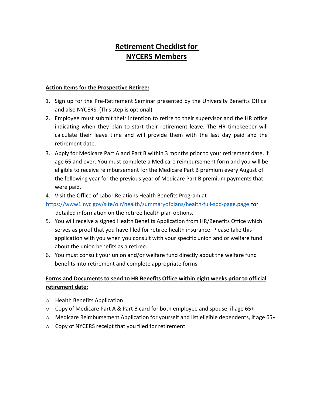# **Retirement Checklist for NYCERS Members**

#### **Action Items for the Prospective Retiree:**

- 1. Sign up for the Pre-Retirement Seminar presented by the University Benefits Office and also NYCERS. (This step is optional)
- 2. Employee must submit their intention to retire to their supervisor and the HR office indicating when they plan to start their retirement leave. The HR timekeeper will calculate their leave time and will provide them with the last day paid and the retirement date.
- 3. Apply for Medicare Part A and Part B within 3 months prior to your retirement date, if age 65 and over. You must complete a Medicare reimbursement form and you will be eligible to receive reimbursement for the Medicare Part B premium every August of the following year for the previous year of Medicare Part B premium payments that were paid.

#### 4. Visit the Office of Labor Relations Health Benefits Program at

<https://www1.nyc.gov/site/olr/health/summaryofplans/health-full-spd-page.page> for detailed information on the retiree health plan options.

- 5. You will receive a signed Health Benefits Application from HR/Benefits Office which serves as proof that you have filed for retiree health insurance. Please take this application with you when you consult with your specific union and or welfare fund about the union benefits as a retiree.
- 6. You must consult your union and/or welfare fund directly about the welfare fund benefits into retirement and complete appropriate forms.

### **Forms and Documents to send to HR Benefits Office within eight weeks prior to official retirement date:**

- o Health Benefits Application
- o Copy of Medicare Part A & Part B card for both employee and spouse, if age 65+
- o Medicare Reimbursement Application for yourself and list eligible dependents, if age 65+
- o Copy of NYCERS receipt that you filed for retirement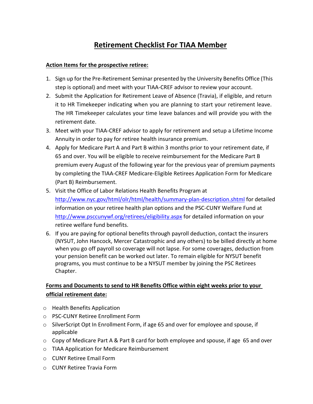# **Retirement Checklist For TIAA Member**

#### **Action Items for the prospective retiree:**

- 1. Sign up for the Pre-Retirement Seminar presented by the University Benefits Office (This step is optional) and meet with your TIAA-CREF advisor to review your account.
- 2. Submit the Application for Retirement Leave of Absence (Travia), if eligible, and return it to HR Timekeeper indicating when you are planning to start your retirement leave. The HR Timekeeper calculates your time leave balances and will provide you with the retirement date.
- 3. Meet with your TIAA-CREF advisor to apply for retirement and setup a Lifetime Income Annuity in order to pay for retiree health insurance premium.
- 4. Apply for Medicare Part A and Part B within 3 months prior to your retirement date, if 65 and over. You will be eligible to receive reimbursement for the Medicare Part B premium every August of the following year for the previous year of premium payments by completing the TIAA-CREF Medicare-Eligible Retirees Application Form for Medicare (Part B) Reimbursement.
- 5. Visit the Office of Labor Relations Health Benefits Program at <http://www.nyc.gov/html/olr/html/health/summary-plan-description.shtml> for detailed information on your retiree health plan options and the PSC-CUNY Welfare Fund at <http://www.psccunywf.org/retirees/eligibility.aspx> for detailed information on your retiree welfare fund benefits.
- 6. If you are paying for optional benefits through payroll deduction, contact the insurers (NYSUT, John Hancock, Mercer Catastrophic and any others) to be billed directly at home when you go off payroll so coverage will not lapse. For some coverages, deduction from your pension benefit can be worked out later. To remain eligible for NYSUT benefit programs, you must [continue to be a NYSUT member](https://www.psc-cuny.org/about-us/retiree-membership) by joining the PSC [Retirees](https://www.psc-cuny.org/about-us/retirees)  [Chapter.](https://www.psc-cuny.org/about-us/retirees)

### **Forms and Documents to send to HR Benefits Office within eight weeks prior to your official retirement date:**

- o Health Benefits Application
- o PSC-CUNY Retiree Enrollment Form
- o SilverScript Opt In Enrollment Form, if age 65 and over for employee and spouse, if applicable
- $\circ$  Copy of Medicare Part A & Part B card for both employee and spouse, if age 65 and over
- o TIAA Application for Medicare Reimbursement
- o CUNY Retiree Email Form
- o CUNY Retiree Travia Form